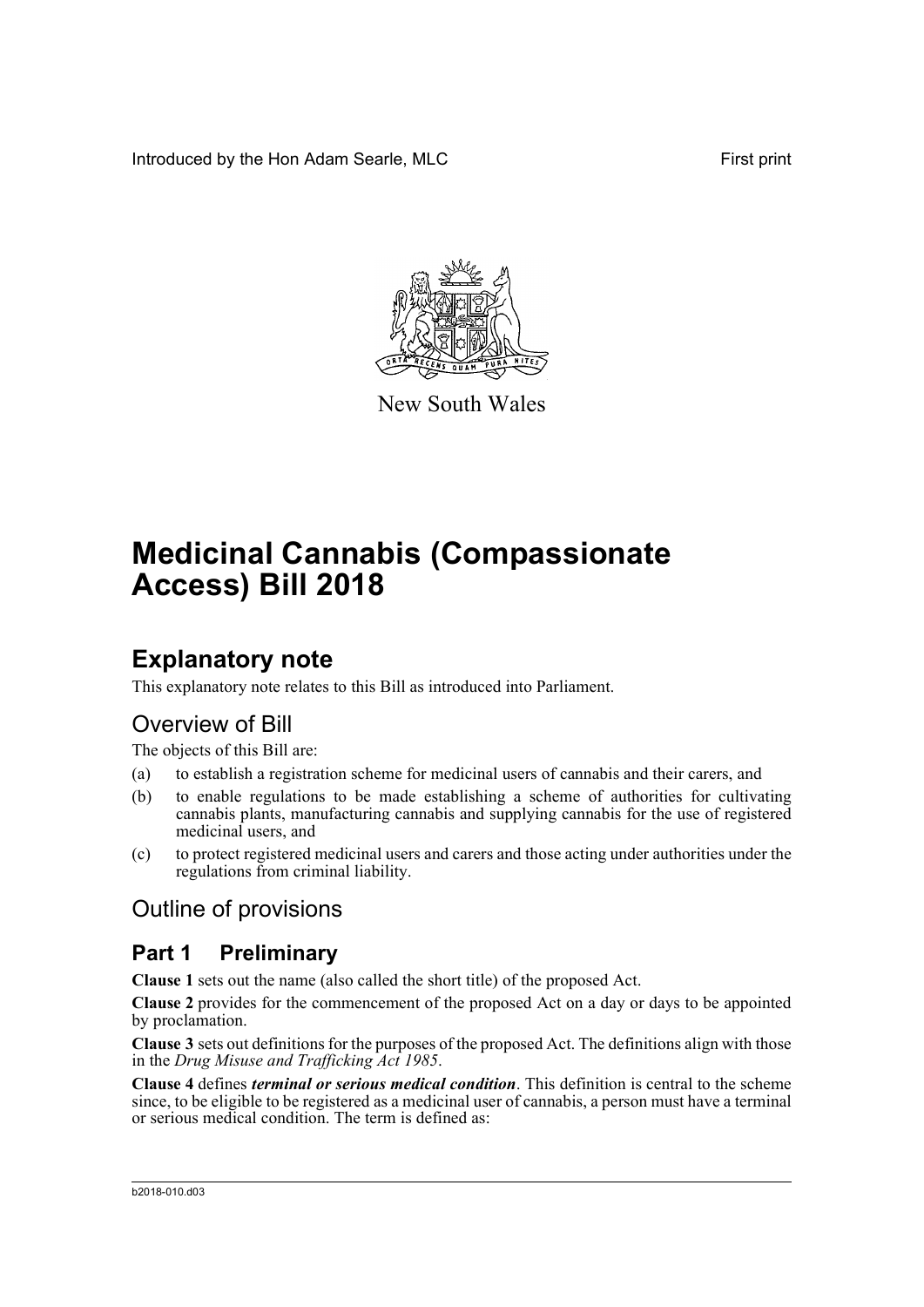Introduced by the Hon Adam Searle, MLC **First print** 



New South Wales

# **Medicinal Cannabis (Compassionate Access) Bill 2018**

# **Explanatory note**

This explanatory note relates to this Bill as introduced into Parliament.

# Overview of Bill

The objects of this Bill are:

- (a) to establish a registration scheme for medicinal users of cannabis and their carers, and
- (b) to enable regulations to be made establishing a scheme of authorities for cultivating cannabis plants, manufacturing cannabis and supplying cannabis for the use of registered medicinal users, and
- (c) to protect registered medicinal users and carers and those acting under authorities under the regulations from criminal liability.

# Outline of provisions

### **Part 1 Preliminary**

**Clause 1** sets out the name (also called the short title) of the proposed Act.

**Clause 2** provides for the commencement of the proposed Act on a day or days to be appointed by proclamation.

**Clause 3** sets out definitions for the purposes of the proposed Act. The definitions align with those in the *Drug Misuse and Trafficking Act 1985*.

**Clause 4** defines *terminal or serious medical condition*. This definition is central to the scheme since, to be eligible to be registered as a medicinal user of cannabis, a person must have a terminal or serious medical condition. The term is defined as: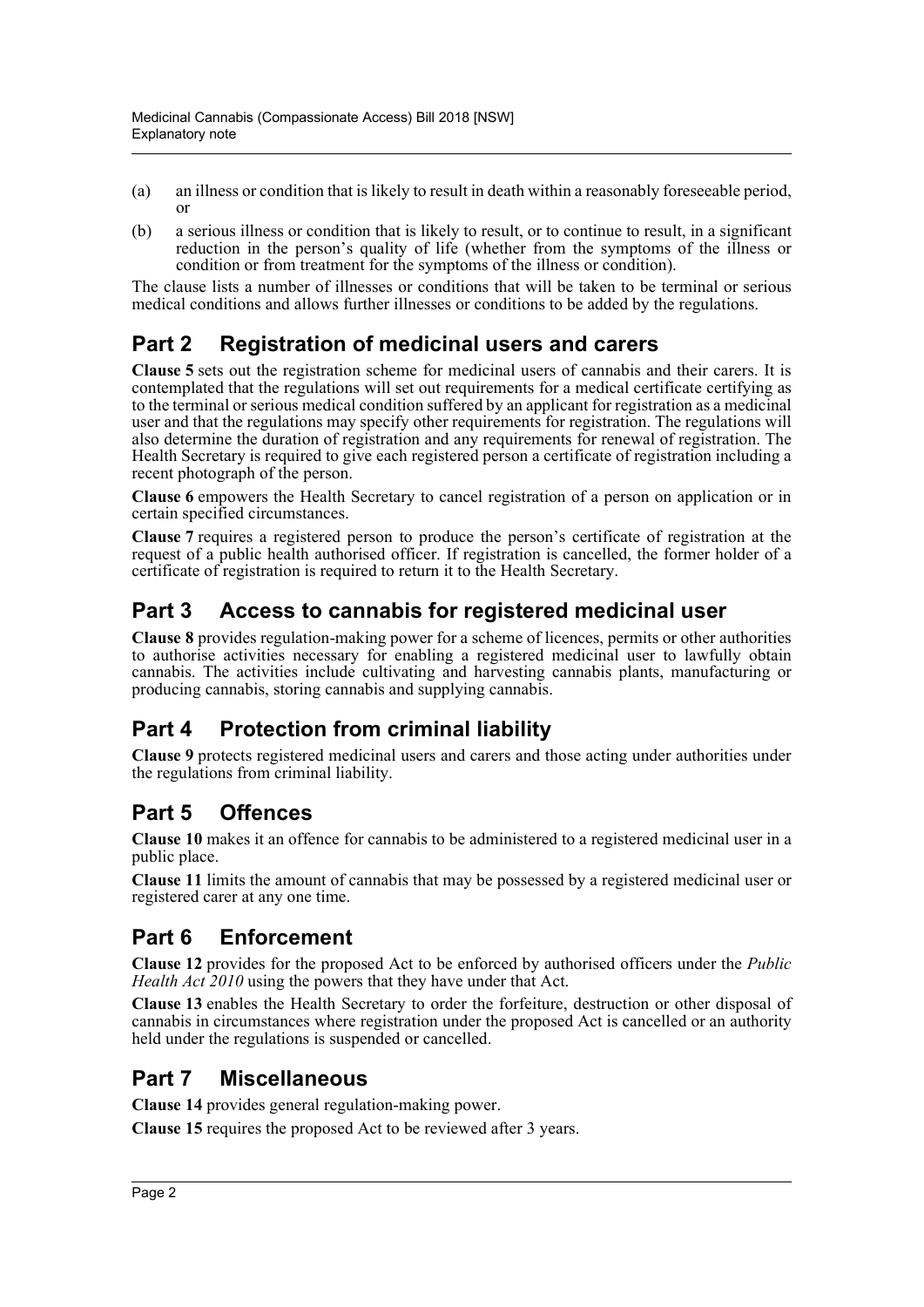- (a) an illness or condition that is likely to result in death within a reasonably foreseeable period, or
- (b) a serious illness or condition that is likely to result, or to continue to result, in a significant reduction in the person's quality of life (whether from the symptoms of the illness or condition or from treatment for the symptoms of the illness or condition).

The clause lists a number of illnesses or conditions that will be taken to be terminal or serious medical conditions and allows further illnesses or conditions to be added by the regulations.

# **Part 2 Registration of medicinal users and carers**

**Clause 5** sets out the registration scheme for medicinal users of cannabis and their carers. It is contemplated that the regulations will set out requirements for a medical certificate certifying as to the terminal or serious medical condition suffered by an applicant for registration as a medicinal user and that the regulations may specify other requirements for registration. The regulations will also determine the duration of registration and any requirements for renewal of registration. The Health Secretary is required to give each registered person a certificate of registration including a recent photograph of the person.

**Clause 6** empowers the Health Secretary to cancel registration of a person on application or in certain specified circumstances.

**Clause 7** requires a registered person to produce the person's certificate of registration at the request of a public health authorised officer. If registration is cancelled, the former holder of a certificate of registration is required to return it to the Health Secretary.

## **Part 3 Access to cannabis for registered medicinal user**

**Clause 8** provides regulation-making power for a scheme of licences, permits or other authorities to authorise activities necessary for enabling a registered medicinal user to lawfully obtain cannabis. The activities include cultivating and harvesting cannabis plants, manufacturing or producing cannabis, storing cannabis and supplying cannabis.

# **Part 4 Protection from criminal liability**

**Clause 9** protects registered medicinal users and carers and those acting under authorities under the regulations from criminal liability.

# **Part 5 Offences**

**Clause 10** makes it an offence for cannabis to be administered to a registered medicinal user in a public place.

**Clause 11** limits the amount of cannabis that may be possessed by a registered medicinal user or registered carer at any one time.

# **Part 6 Enforcement**

**Clause 12** provides for the proposed Act to be enforced by authorised officers under the *Public Health Act 2010* using the powers that they have under that Act.

**Clause 13** enables the Health Secretary to order the forfeiture, destruction or other disposal of cannabis in circumstances where registration under the proposed Act is cancelled or an authority held under the regulations is suspended or cancelled.

# **Part 7 Miscellaneous**

**Clause 14** provides general regulation-making power.

**Clause 15** requires the proposed Act to be reviewed after 3 years.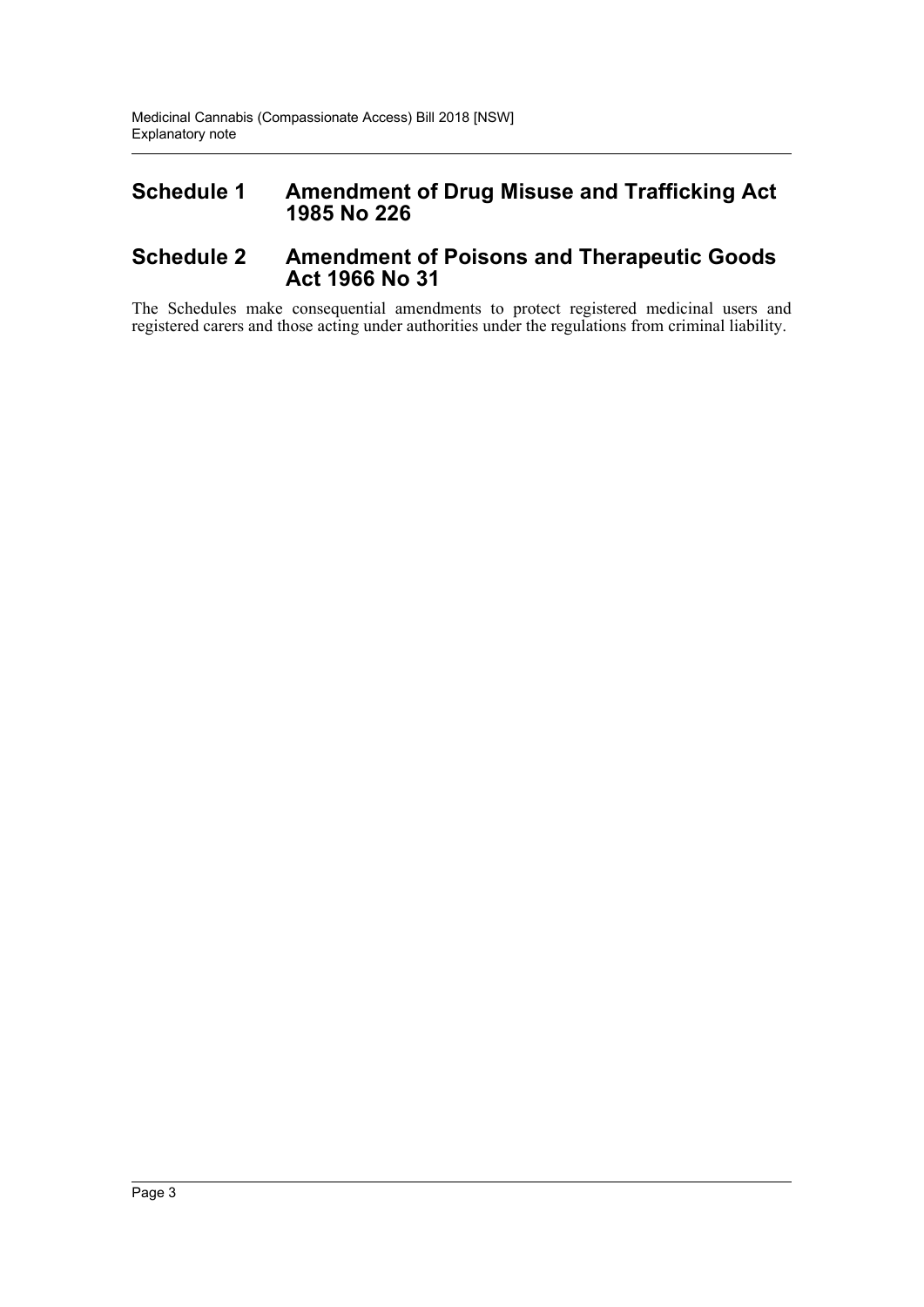### **Schedule 1 Amendment of Drug Misuse and Trafficking Act 1985 No 226**

### **Schedule 2 Amendment of Poisons and Therapeutic Goods Act 1966 No 31**

The Schedules make consequential amendments to protect registered medicinal users and registered carers and those acting under authorities under the regulations from criminal liability.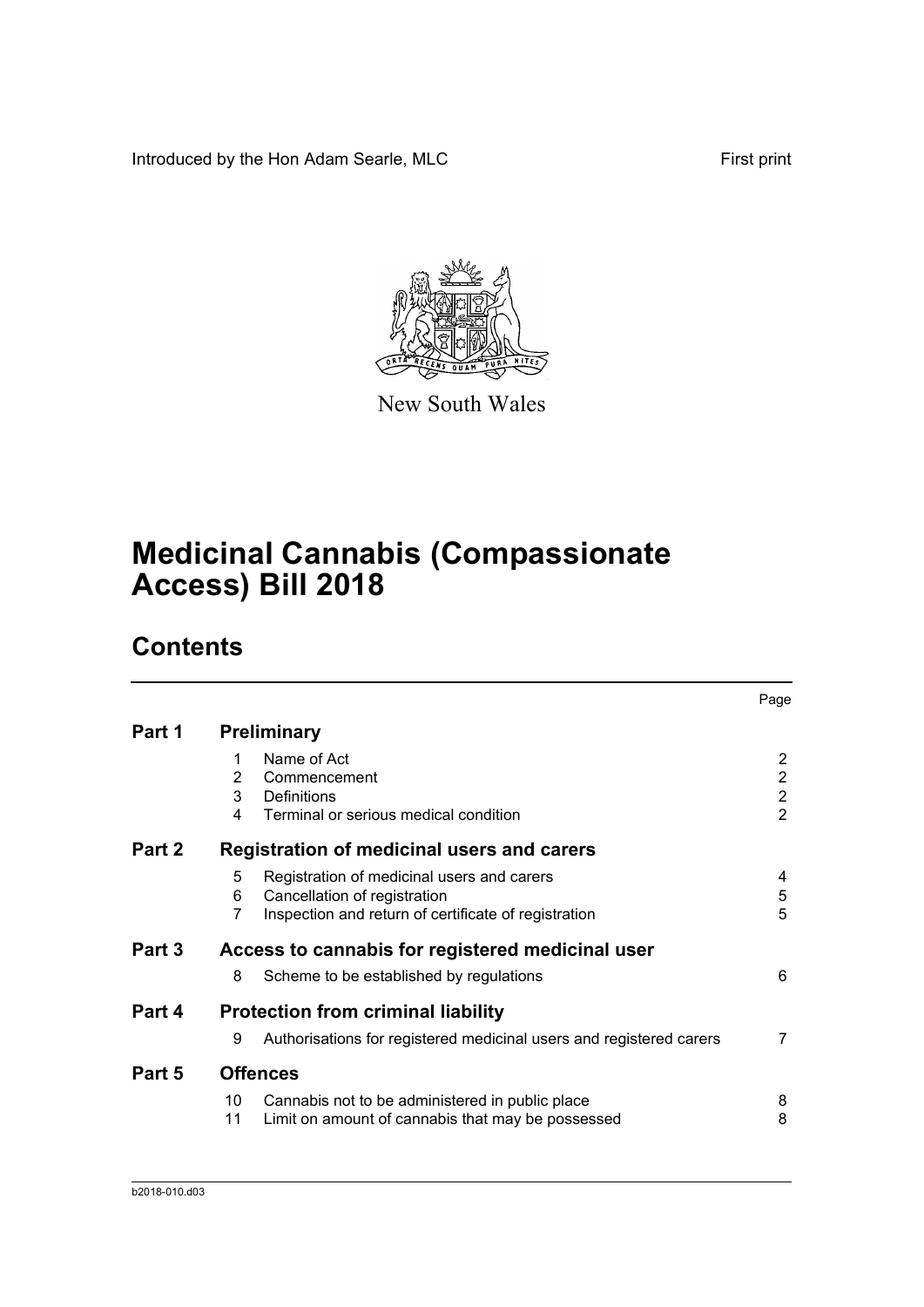Introduced by the Hon Adam Searle, MLC First print



New South Wales

# **Medicinal Cannabis (Compassionate Access) Bill 2018**

# **Contents**

|        |                |                                                                     | Page           |
|--------|----------------|---------------------------------------------------------------------|----------------|
| Part 1 |                | <b>Preliminary</b>                                                  |                |
|        | 1              | Name of Act                                                         | 2              |
|        | 2              | Commencement                                                        | $\overline{c}$ |
|        | 3              | <b>Definitions</b>                                                  | $\overline{c}$ |
|        | 4              | Terminal or serious medical condition                               | $\overline{2}$ |
| Part 2 |                | Registration of medicinal users and carers                          |                |
|        | 5              | Registration of medicinal users and carers                          | 4              |
|        | 6              | Cancellation of registration                                        | 5              |
|        | $\overline{7}$ | Inspection and return of certificate of registration                | 5              |
| Part 3 |                | Access to cannabis for registered medicinal user                    |                |
|        | 8              | Scheme to be established by regulations                             | 6              |
| Part 4 |                | <b>Protection from criminal liability</b>                           |                |
|        | 9              | Authorisations for registered medicinal users and registered carers | 7              |
| Part 5 |                | <b>Offences</b>                                                     |                |
|        | 10             | Cannabis not to be administered in public place                     | 8              |
|        | 11             | Limit on amount of cannabis that may be possessed                   | 8              |
|        |                |                                                                     |                |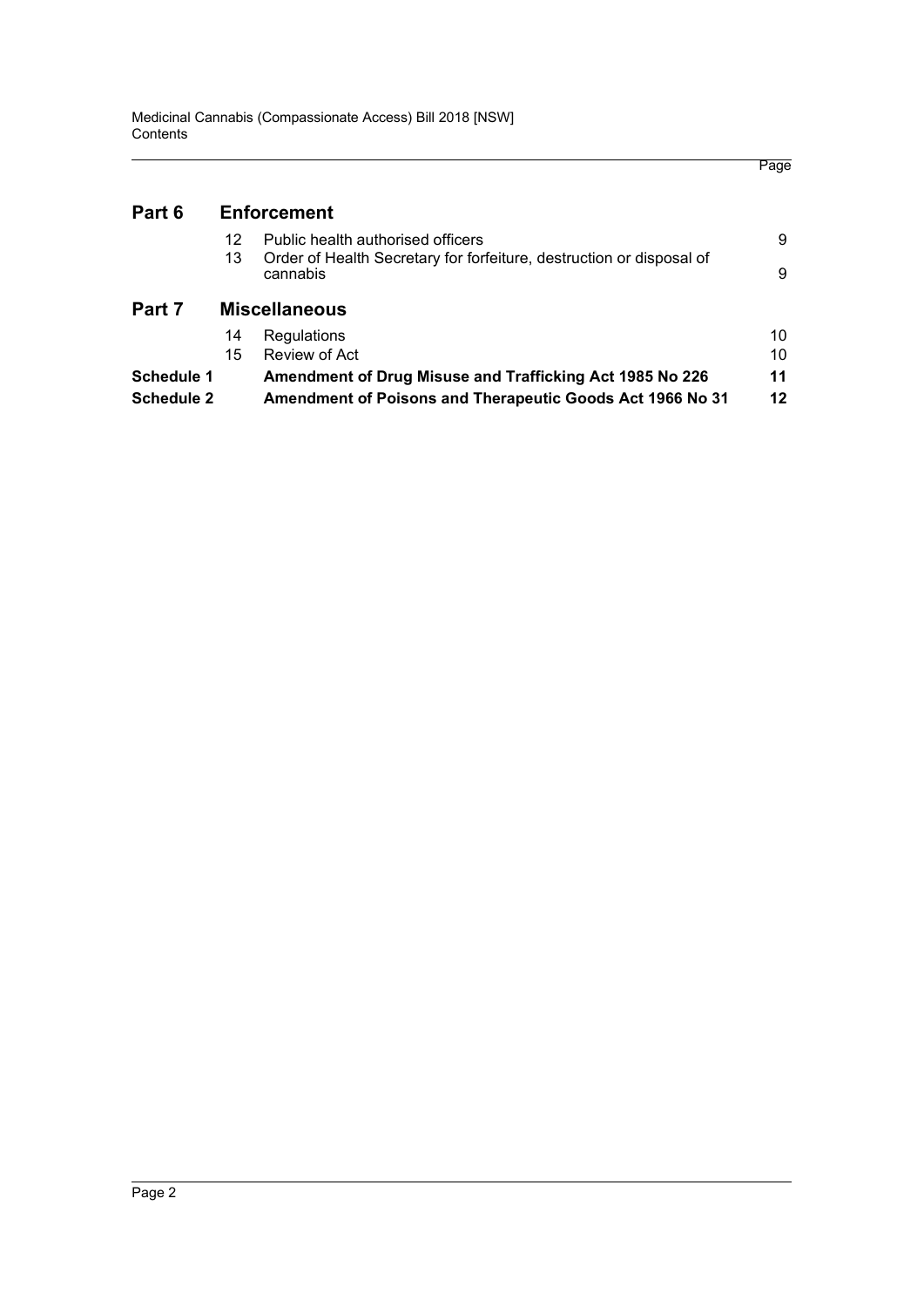|                   |    |                                                                                  | Page |
|-------------------|----|----------------------------------------------------------------------------------|------|
| Part 6            |    | <b>Enforcement</b>                                                               |      |
|                   | 12 | Public health authorised officers                                                | 9    |
|                   | 13 | Order of Health Secretary for forfeiture, destruction or disposal of<br>cannabis | 9    |
| Part 7            |    | <b>Miscellaneous</b>                                                             |      |
|                   | 14 | Regulations                                                                      | 10   |
|                   | 15 | Review of Act                                                                    | 10   |
| Schedule 1        |    | Amendment of Drug Misuse and Trafficking Act 1985 No 226                         | 11   |
| <b>Schedule 2</b> |    | Amendment of Poisons and Therapeutic Goods Act 1966 No 31                        | 12   |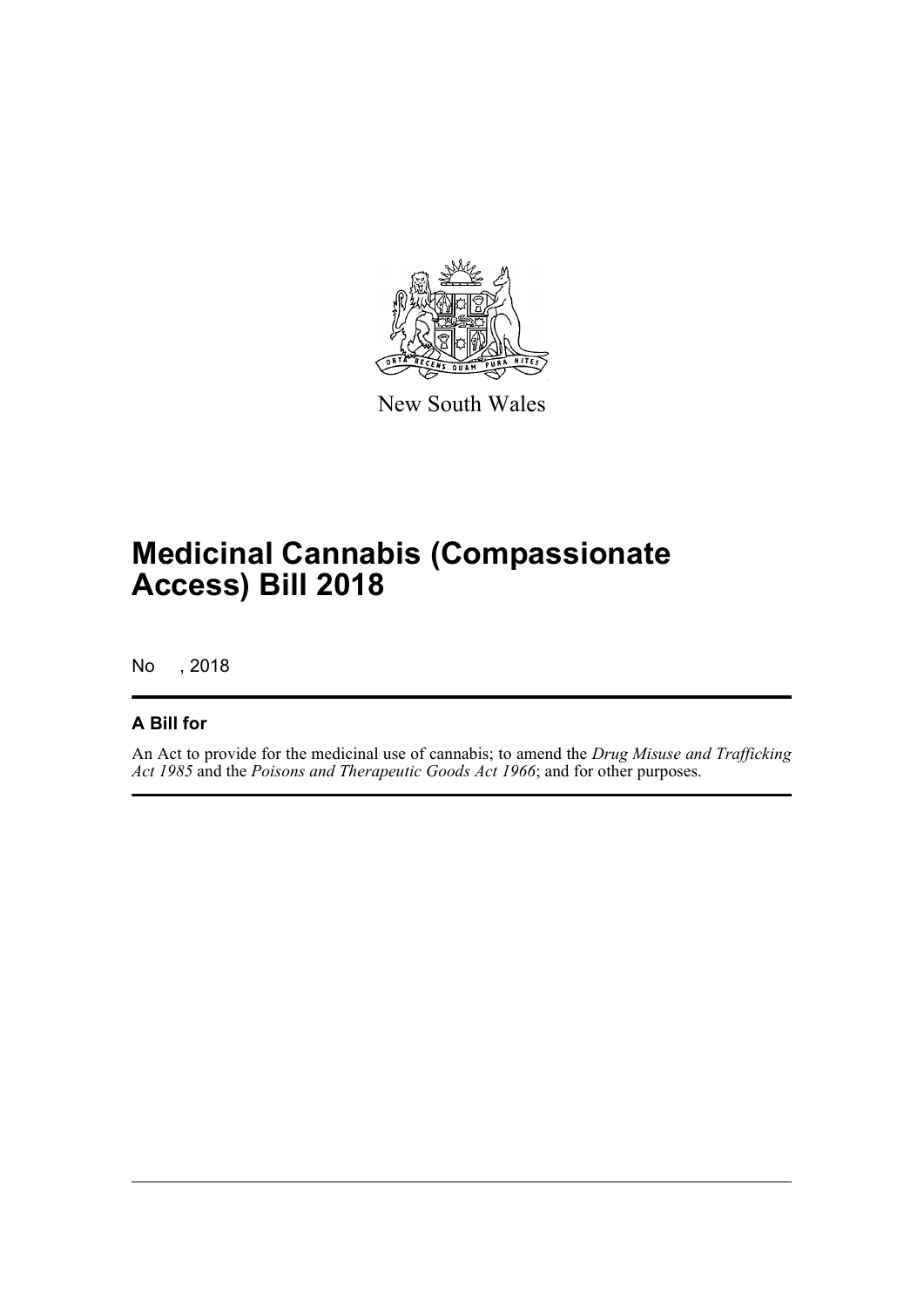

New South Wales

# **Medicinal Cannabis (Compassionate Access) Bill 2018**

No , 2018

### **A Bill for**

An Act to provide for the medicinal use of cannabis; to amend the *Drug Misuse and Trafficking Act 1985* and the *Poisons and Therapeutic Goods Act 1966*; and for other purposes.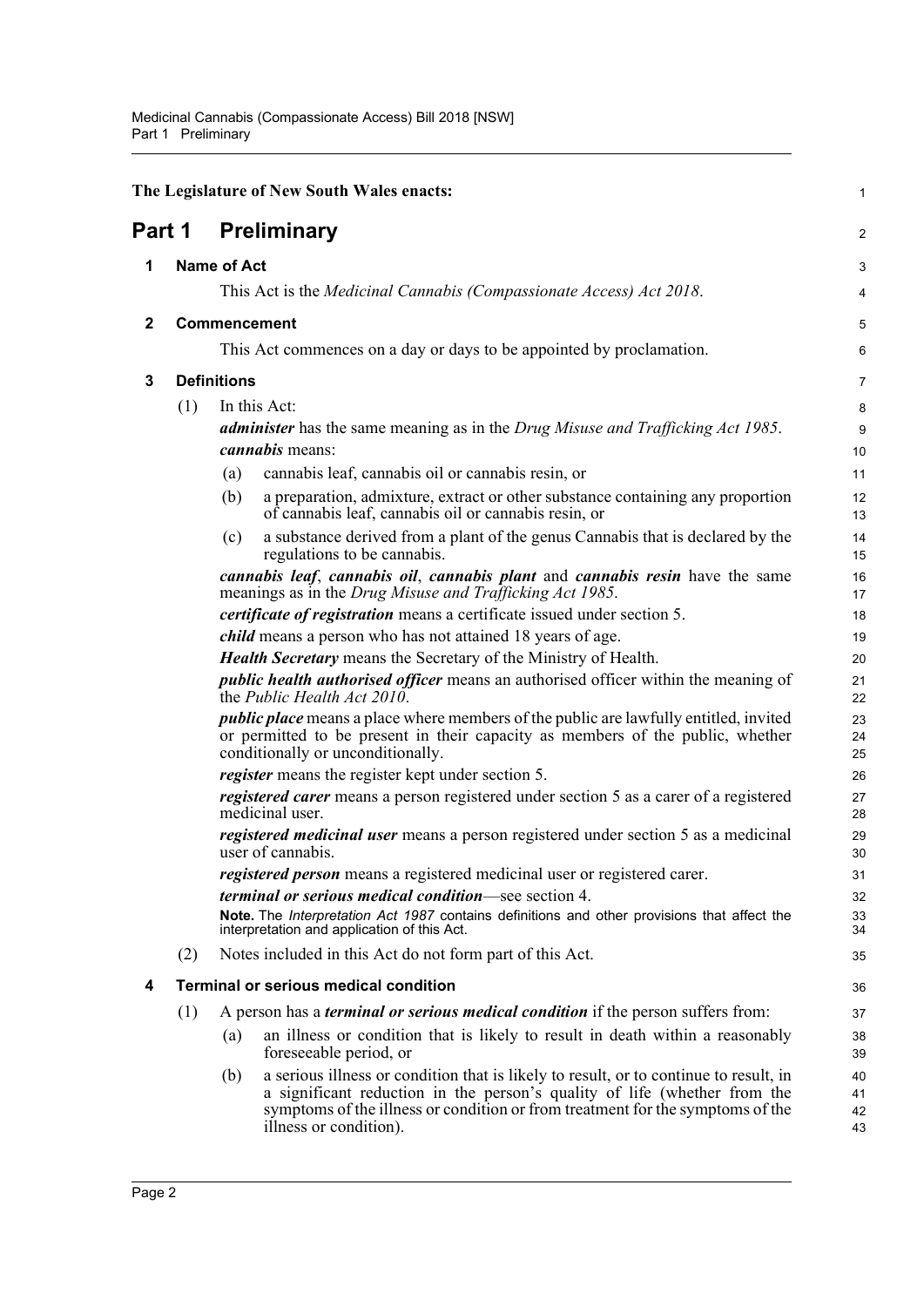<span id="page-6-4"></span><span id="page-6-3"></span><span id="page-6-2"></span><span id="page-6-1"></span><span id="page-6-0"></span>

|              |              | The Legislature of New South Wales enacts:                                                                                                                                                                          | 1                      |
|--------------|--------------|---------------------------------------------------------------------------------------------------------------------------------------------------------------------------------------------------------------------|------------------------|
| Part 1       |              | <b>Preliminary</b>                                                                                                                                                                                                  | $\overline{2}$         |
| 1            |              | <b>Name of Act</b>                                                                                                                                                                                                  | 3                      |
|              |              | This Act is the Medicinal Cannabis (Compassionate Access) Act 2018.                                                                                                                                                 | 4                      |
| $\mathbf{2}$ | Commencement |                                                                                                                                                                                                                     | 5                      |
|              |              | This Act commences on a day or days to be appointed by proclamation.                                                                                                                                                | 6                      |
| 3            |              | <b>Definitions</b>                                                                                                                                                                                                  | $\overline{7}$         |
|              | (1)          | In this Act:                                                                                                                                                                                                        | 8                      |
|              |              | <b>administer</b> has the same meaning as in the Drug Misuse and Trafficking Act 1985.<br><i>cannabis</i> means:                                                                                                    | $\boldsymbol{9}$<br>10 |
|              |              | cannabis leaf, cannabis oil or cannabis resin, or<br>(a)                                                                                                                                                            | 11                     |
|              |              | a preparation, admixture, extract or other substance containing any proportion<br>(b)<br>of cannabis leaf, cannabis oil or cannabis resin, or                                                                       | 12<br>13               |
|              |              | a substance derived from a plant of the genus Cannabis that is declared by the<br>(c)<br>regulations to be cannabis.                                                                                                | 14<br>15               |
|              |              | cannabis leaf, cannabis oil, cannabis plant and cannabis resin have the same<br>meanings as in the Drug Misuse and Trafficking Act 1985.                                                                            | 16<br>17               |
|              |              | <i>certificate of registration</i> means a certificate issued under section 5.                                                                                                                                      | 18                     |
|              |              | <i>child</i> means a person who has not attained 18 years of age.                                                                                                                                                   | 19                     |
|              |              | <b>Health Secretary</b> means the Secretary of the Ministry of Health.                                                                                                                                              | 20                     |
|              |              | <i>public health authorised officer</i> means an authorised officer within the meaning of<br>the Public Health Act 2010.                                                                                            | 21<br>22               |
|              |              | <i>public place</i> means a place where members of the public are lawfully entitled, invited<br>or permitted to be present in their capacity as members of the public, whether<br>conditionally or unconditionally. | 23<br>24<br>25         |
|              |              | <i>register</i> means the register kept under section 5.                                                                                                                                                            | 26                     |
|              |              | registered carer means a person registered under section 5 as a carer of a registered<br>medicinal user.                                                                                                            | 27<br>28               |
|              |              | registered medicinal user means a person registered under section 5 as a medicinal<br>user of cannabis.                                                                                                             | 29<br>30               |
|              |              | registered person means a registered medicinal user or registered carer.                                                                                                                                            | 31                     |
|              |              | <i>terminal or serious medical condition—see section 4.</i>                                                                                                                                                         | 32                     |
|              |              | Note. The Interpretation Act 1987 contains definitions and other provisions that affect the<br>interpretation and application of this Act.                                                                          | 33<br>34               |
|              | (2)          | Notes included in this Act do not form part of this Act.                                                                                                                                                            | 35                     |
| 4            |              | <b>Terminal or serious medical condition</b>                                                                                                                                                                        | 36                     |
|              | (1)          | A person has a <i>terminal or serious medical condition</i> if the person suffers from:                                                                                                                             | 37                     |
|              |              | an illness or condition that is likely to result in death within a reasonably<br>(a)<br>foreseeable period, or                                                                                                      | 38<br>39               |
|              |              | a serious illness or condition that is likely to result, or to continue to result, in<br>(b)                                                                                                                        | 40                     |
|              |              | a significant reduction in the person's quality of life (whether from the<br>symptoms of the illness or condition or from treatment for the symptoms of the<br>illness or condition).                               | 41<br>42<br>43         |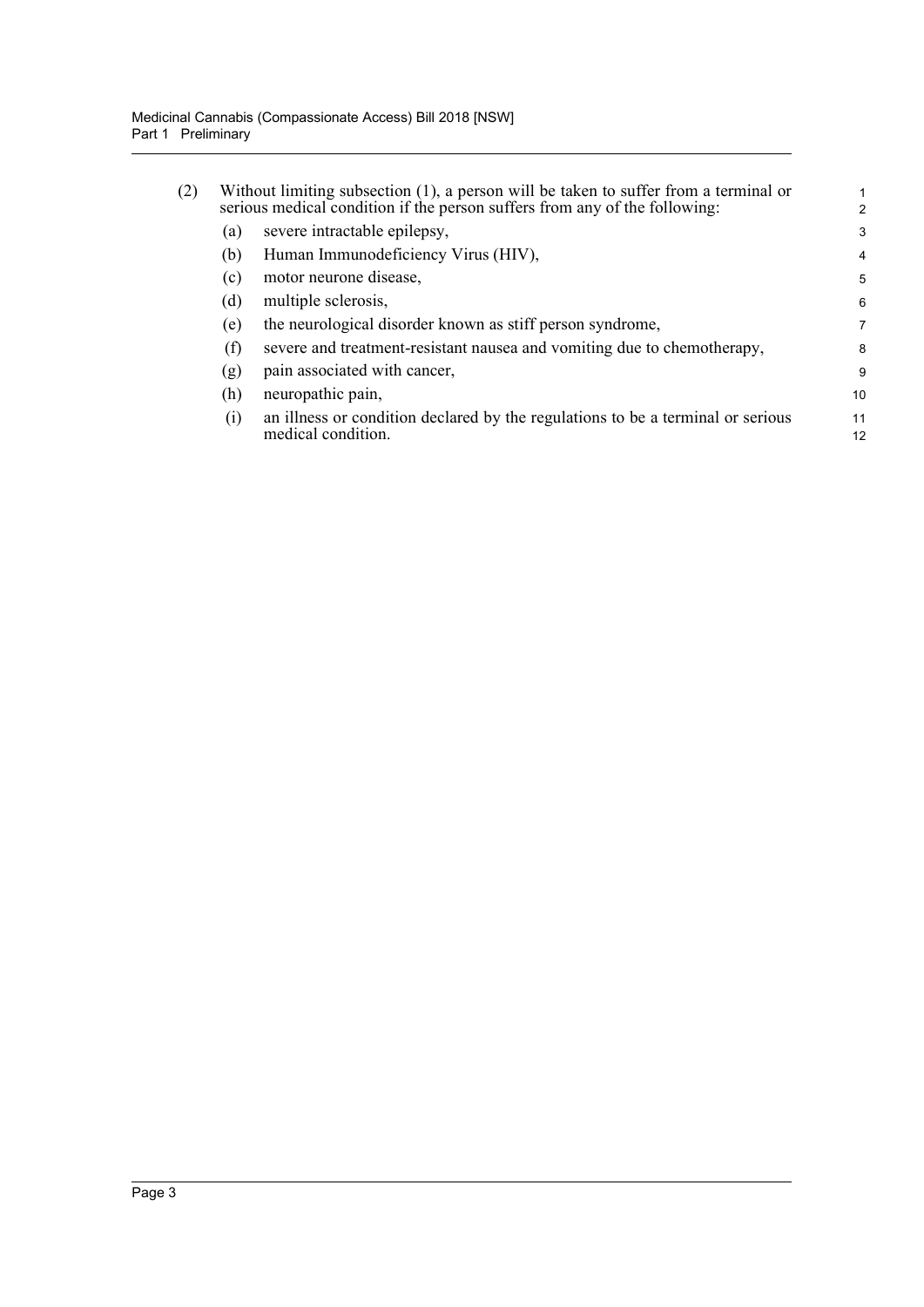| (2) | Without limiting subsection $(1)$ , a person will be taken to suffer from a terminal or<br>serious medical condition if the person suffers from any of the following: |                                                                                                       |          |
|-----|-----------------------------------------------------------------------------------------------------------------------------------------------------------------------|-------------------------------------------------------------------------------------------------------|----------|
|     | (a)                                                                                                                                                                   | severe intractable epilepsy,                                                                          | 3        |
|     | (b)                                                                                                                                                                   | Human Immunodeficiency Virus (HIV),                                                                   | 4        |
|     | (c)                                                                                                                                                                   | motor neurone disease,                                                                                | 5        |
|     | (d)                                                                                                                                                                   | multiple sclerosis,                                                                                   | 6        |
|     | (e)                                                                                                                                                                   | the neurological disorder known as stiff person syndrome,                                             | 7        |
|     | (f)                                                                                                                                                                   | severe and treatment-resistant nausea and vomiting due to chemotherapy,                               | 8        |
|     | (g)                                                                                                                                                                   | pain associated with cancer,                                                                          | 9        |
|     | (h)                                                                                                                                                                   | neuropathic pain,                                                                                     | 10       |
|     | (i)                                                                                                                                                                   | an illness or condition declared by the regulations to be a terminal or serious<br>medical condition. | 11<br>12 |
|     |                                                                                                                                                                       |                                                                                                       |          |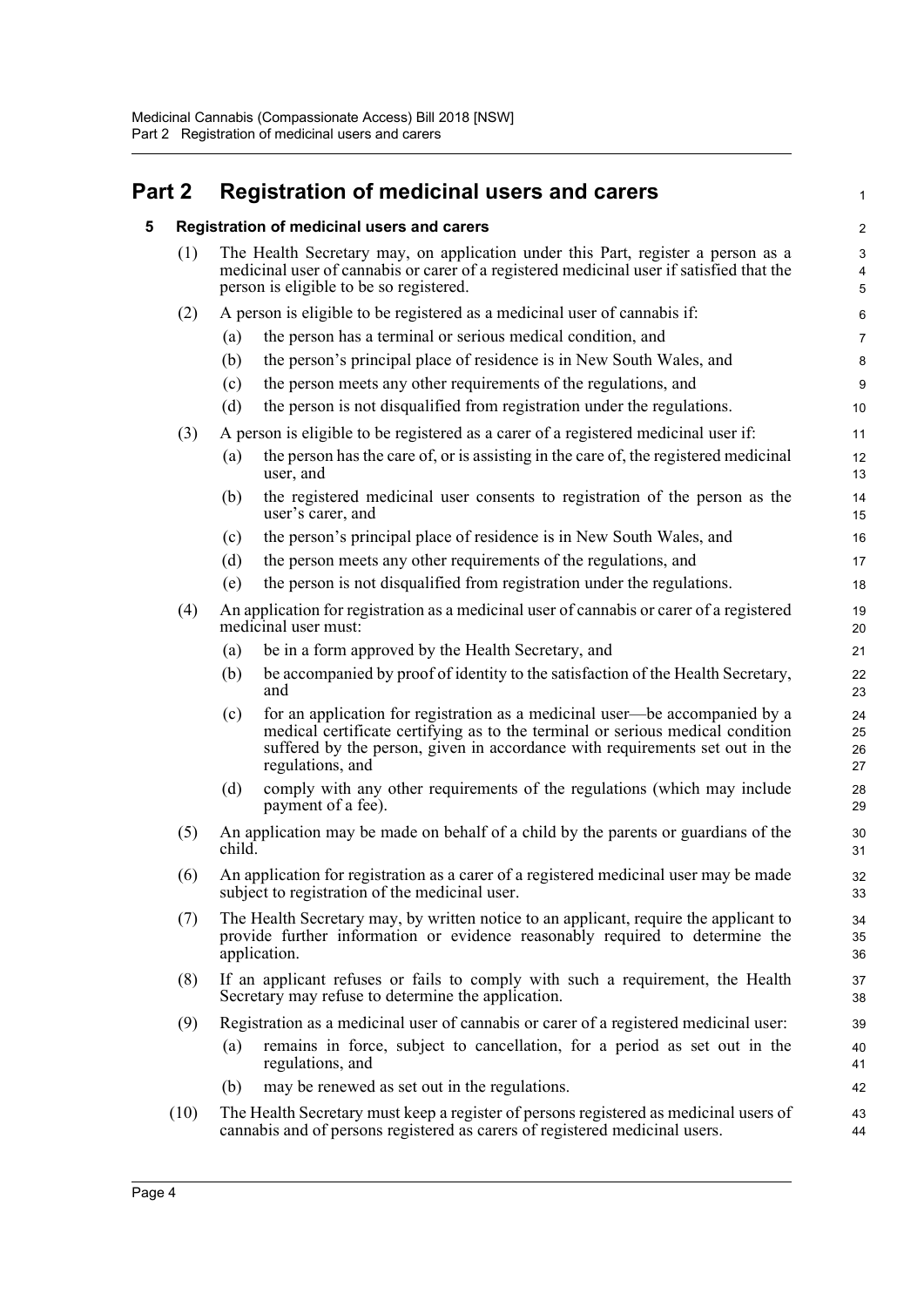# <span id="page-8-1"></span><span id="page-8-0"></span>**Part 2 Registration of medicinal users and carers**

| 5    |                                                                                                                                                                                                                                | Registration of medicinal users and carers                                                                                                                                                                                                                        | 2                    |
|------|--------------------------------------------------------------------------------------------------------------------------------------------------------------------------------------------------------------------------------|-------------------------------------------------------------------------------------------------------------------------------------------------------------------------------------------------------------------------------------------------------------------|----------------------|
|      | The Health Secretary may, on application under this Part, register a person as a<br>(1)<br>medicinal user of cannabis or carer of a registered medicinal user if satisfied that the<br>person is eligible to be so registered. |                                                                                                                                                                                                                                                                   | Ę                    |
| (2)  |                                                                                                                                                                                                                                | A person is eligible to be registered as a medicinal user of cannabis if:                                                                                                                                                                                         | Е                    |
|      | (a)                                                                                                                                                                                                                            | the person has a terminal or serious medical condition, and                                                                                                                                                                                                       |                      |
|      | (b)                                                                                                                                                                                                                            | the person's principal place of residence is in New South Wales, and                                                                                                                                                                                              | ε                    |
|      | (c)                                                                                                                                                                                                                            | the person meets any other requirements of the regulations, and                                                                                                                                                                                                   | ĉ                    |
|      | (d)                                                                                                                                                                                                                            | the person is not disqualified from registration under the regulations.                                                                                                                                                                                           | 10                   |
| (3)  |                                                                                                                                                                                                                                | A person is eligible to be registered as a carer of a registered medicinal user if:                                                                                                                                                                               | 11                   |
|      | (a)                                                                                                                                                                                                                            | the person has the care of, or is assisting in the care of, the registered medicinal<br>user, and                                                                                                                                                                 | 12<br>13             |
|      | (b)                                                                                                                                                                                                                            | the registered medicinal user consents to registration of the person as the<br>user's carer, and                                                                                                                                                                  | 14<br>15             |
|      | (c)                                                                                                                                                                                                                            | the person's principal place of residence is in New South Wales, and                                                                                                                                                                                              | 16                   |
|      | (d)                                                                                                                                                                                                                            | the person meets any other requirements of the regulations, and                                                                                                                                                                                                   | 17                   |
|      | (e)                                                                                                                                                                                                                            | the person is not disqualified from registration under the regulations.                                                                                                                                                                                           | 18                   |
| (4)  |                                                                                                                                                                                                                                | An application for registration as a medicinal user of cannabis or carer of a registered<br>medicinal user must:                                                                                                                                                  | 19<br>20             |
|      | (a)                                                                                                                                                                                                                            | be in a form approved by the Health Secretary, and                                                                                                                                                                                                                | 21                   |
|      | (b)                                                                                                                                                                                                                            | be accompanied by proof of identity to the satisfaction of the Health Secretary,<br>and                                                                                                                                                                           | 22<br>23             |
|      | (c)                                                                                                                                                                                                                            | for an application for registration as a medicinal user—be accompanied by a<br>medical certificate certifying as to the terminal or serious medical condition<br>suffered by the person, given in accordance with requirements set out in the<br>regulations, and | 24<br>25<br>26<br>27 |
|      | (d)                                                                                                                                                                                                                            | comply with any other requirements of the regulations (which may include<br>payment of a fee).                                                                                                                                                                    | 28<br>29             |
| (5)  | child.                                                                                                                                                                                                                         | An application may be made on behalf of a child by the parents or guardians of the                                                                                                                                                                                | 3 <sub>C</sub><br>31 |
| (6)  |                                                                                                                                                                                                                                | An application for registration as a carer of a registered medicinal user may be made<br>subject to registration of the medicinal user.                                                                                                                           | 32<br>33             |
| (7)  |                                                                                                                                                                                                                                | The Health Secretary may, by written notice to an applicant, require the applicant to<br>provide further information or evidence reasonably required to determine the<br>application.                                                                             | 34<br>35<br>36       |
| (8)  |                                                                                                                                                                                                                                | If an applicant refuses or fails to comply with such a requirement, the Health<br>Secretary may refuse to determine the application.                                                                                                                              | 37<br>38             |
| (9)  |                                                                                                                                                                                                                                | Registration as a medicinal user of cannabis or carer of a registered medicinal user:                                                                                                                                                                             | 39                   |
|      | (a)                                                                                                                                                                                                                            | remains in force, subject to cancellation, for a period as set out in the<br>regulations, and                                                                                                                                                                     | 40<br>41             |
|      | (b)                                                                                                                                                                                                                            | may be renewed as set out in the regulations.                                                                                                                                                                                                                     | 42                   |
| (10) |                                                                                                                                                                                                                                | The Health Secretary must keep a register of persons registered as medicinal users of<br>cannabis and of persons registered as carers of registered medicinal users.                                                                                              | 43<br>44             |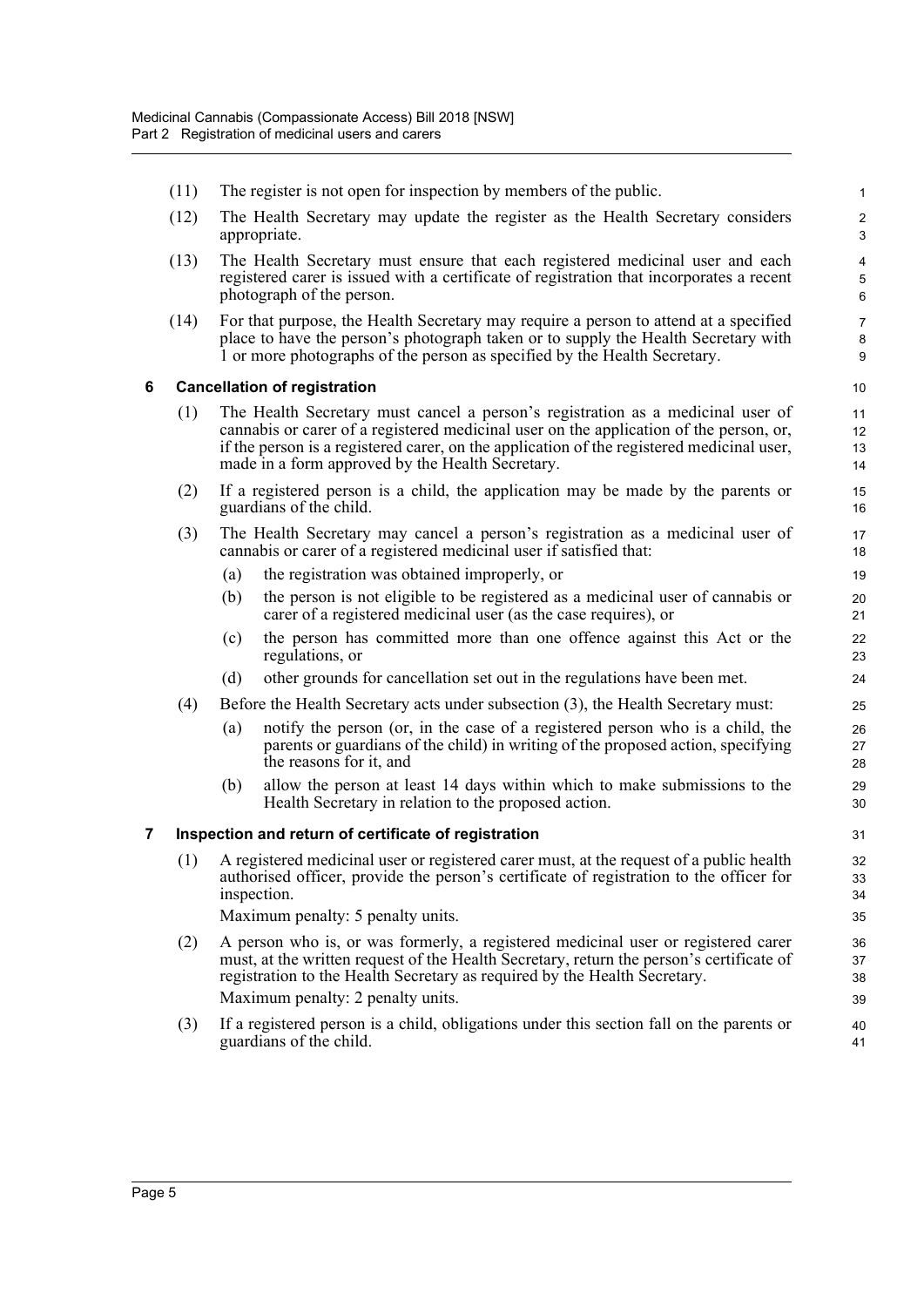<span id="page-9-1"></span><span id="page-9-0"></span>

|   | (11)                                                 |                                                                                                                                                                                                                                                                                                                            | The register is not open for inspection by members of the public.                                                                                                                                                                                       | 1                                       |  |  |
|---|------------------------------------------------------|----------------------------------------------------------------------------------------------------------------------------------------------------------------------------------------------------------------------------------------------------------------------------------------------------------------------------|---------------------------------------------------------------------------------------------------------------------------------------------------------------------------------------------------------------------------------------------------------|-----------------------------------------|--|--|
|   | (12)                                                 |                                                                                                                                                                                                                                                                                                                            | The Health Secretary may update the register as the Health Secretary considers<br>appropriate.                                                                                                                                                          | $\sqrt{2}$<br>$\ensuremath{\mathsf{3}}$ |  |  |
|   | (13)                                                 |                                                                                                                                                                                                                                                                                                                            | The Health Secretary must ensure that each registered medicinal user and each<br>registered carer is issued with a certificate of registration that incorporates a recent<br>photograph of the person.                                                  | 4<br>$\mathbf 5$<br>6                   |  |  |
|   | (14)                                                 |                                                                                                                                                                                                                                                                                                                            | For that purpose, the Health Secretary may require a person to attend at a specified<br>place to have the person's photograph taken or to supply the Health Secretary with<br>1 or more photographs of the person as specified by the Health Secretary. | $\overline{7}$<br>8<br>9                |  |  |
| 6 | <b>Cancellation of registration</b>                  |                                                                                                                                                                                                                                                                                                                            |                                                                                                                                                                                                                                                         |                                         |  |  |
|   | (1)                                                  | The Health Secretary must cancel a person's registration as a medicinal user of<br>cannabis or carer of a registered medicinal user on the application of the person, or,<br>if the person is a registered carer, on the application of the registered medicinal user,<br>made in a form approved by the Health Secretary. |                                                                                                                                                                                                                                                         | 11<br>12<br>13<br>14                    |  |  |
|   | (2)                                                  |                                                                                                                                                                                                                                                                                                                            | If a registered person is a child, the application may be made by the parents or<br>guardians of the child.                                                                                                                                             | 15<br>16                                |  |  |
|   | (3)                                                  |                                                                                                                                                                                                                                                                                                                            | The Health Secretary may cancel a person's registration as a medicinal user of<br>cannabis or carer of a registered medicinal user if satisfied that:                                                                                                   | 17<br>18                                |  |  |
|   |                                                      | (a)                                                                                                                                                                                                                                                                                                                        | the registration was obtained improperly, or                                                                                                                                                                                                            | 19                                      |  |  |
|   |                                                      | (b)                                                                                                                                                                                                                                                                                                                        | the person is not eligible to be registered as a medicinal user of cannabis or<br>carer of a registered medicinal user (as the case requires), or                                                                                                       | 20<br>21                                |  |  |
|   |                                                      | (c)                                                                                                                                                                                                                                                                                                                        | the person has committed more than one offence against this Act or the<br>regulations, or                                                                                                                                                               | 22<br>23                                |  |  |
|   |                                                      | (d)                                                                                                                                                                                                                                                                                                                        | other grounds for cancellation set out in the regulations have been met.                                                                                                                                                                                | 24                                      |  |  |
|   | (4)                                                  |                                                                                                                                                                                                                                                                                                                            | Before the Health Secretary acts under subsection (3), the Health Secretary must:                                                                                                                                                                       | 25                                      |  |  |
|   |                                                      | (a)                                                                                                                                                                                                                                                                                                                        | notify the person (or, in the case of a registered person who is a child, the<br>parents or guardians of the child) in writing of the proposed action, specifying<br>the reasons for it, and                                                            | 26<br>27<br>28                          |  |  |
|   |                                                      | (b)                                                                                                                                                                                                                                                                                                                        | allow the person at least 14 days within which to make submissions to the<br>Health Secretary in relation to the proposed action.                                                                                                                       | 29<br>30                                |  |  |
| 7 | Inspection and return of certificate of registration |                                                                                                                                                                                                                                                                                                                            |                                                                                                                                                                                                                                                         |                                         |  |  |
|   | (1)                                                  | A registered medicinal user or registered carer must, at the request of a public health<br>authorised officer, provide the person's certificate of registration to the officer for<br>inspection.<br>Maximum penalty: 5 penalty units.                                                                                     |                                                                                                                                                                                                                                                         | 32<br>33<br>34<br>35                    |  |  |
|   | (2)                                                  | A person who is, or was formerly, a registered medicinal user or registered carer<br>must, at the written request of the Health Secretary, return the person's certificate of<br>registration to the Health Secretary as required by the Health Secretary.<br>Maximum penalty: 2 penalty units.                            |                                                                                                                                                                                                                                                         |                                         |  |  |
|   | (3)                                                  |                                                                                                                                                                                                                                                                                                                            | If a registered person is a child, obligations under this section fall on the parents or<br>guardians of the child.                                                                                                                                     | 40<br>41                                |  |  |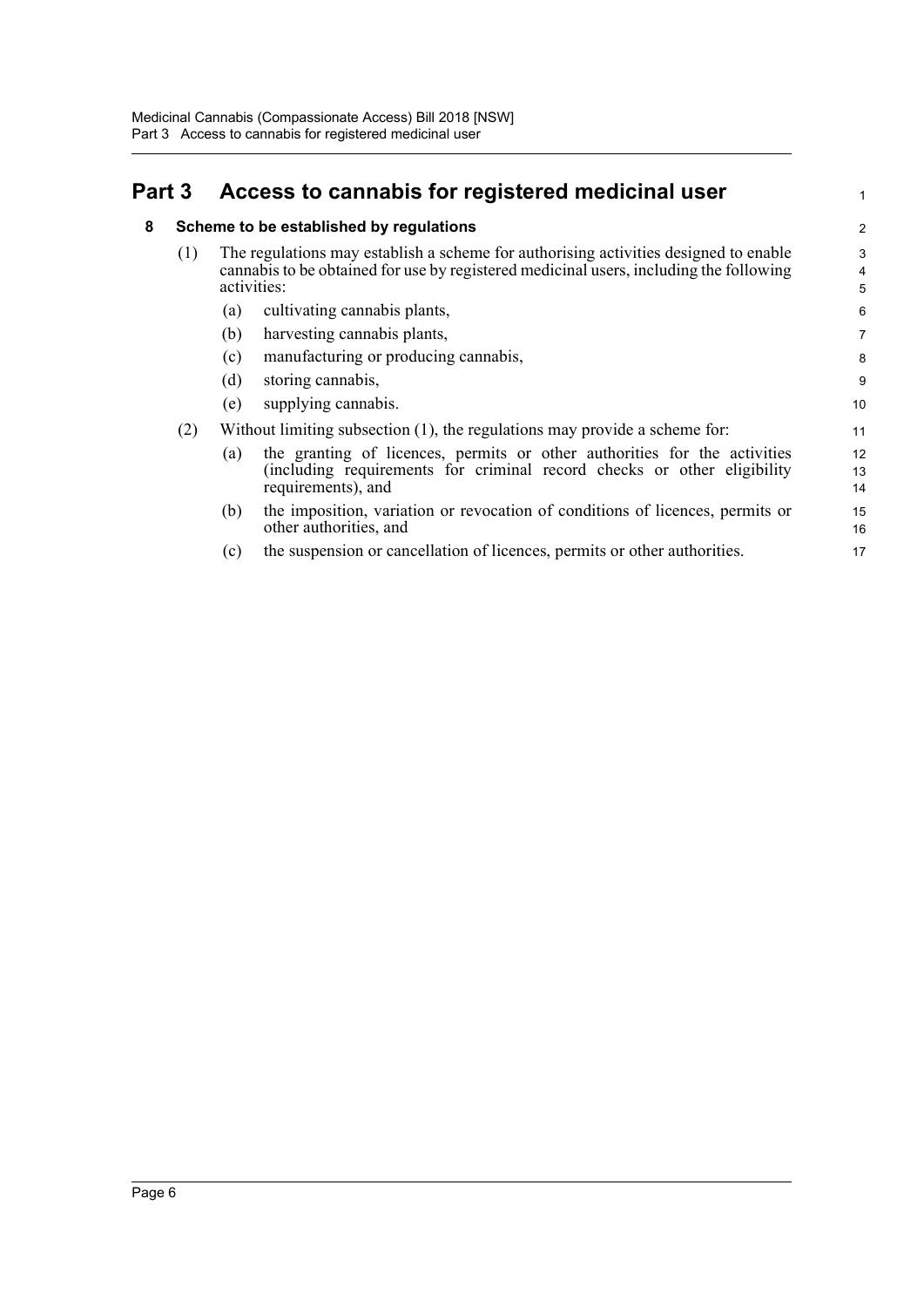### <span id="page-10-1"></span><span id="page-10-0"></span>**Part 3 Access to cannabis for registered medicinal user**

#### **8 Scheme to be established by regulations**

|  | The regulations may establish a scheme for authorising activities designed to enable<br>cannabis to be obtained for use by registered medicinal users, including the following<br>activities: |
|--|-----------------------------------------------------------------------------------------------------------------------------------------------------------------------------------------------|
|--|-----------------------------------------------------------------------------------------------------------------------------------------------------------------------------------------------|

1

- (a) cultivating cannabis plants,
- (b) harvesting cannabis plants,
- (c) manufacturing or producing cannabis,
- (d) storing cannabis,
- (e) supplying cannabis.
- (2) Without limiting subsection (1), the regulations may provide a scheme for:
	- (a) the granting of licences, permits or other authorities for the activities (including requirements for criminal record checks or other eligibility requirements), and 12 13 14
	- (b) the imposition, variation or revocation of conditions of licences, permits or other authorities, and 15 16
	- (c) the suspension or cancellation of licences, permits or other authorities.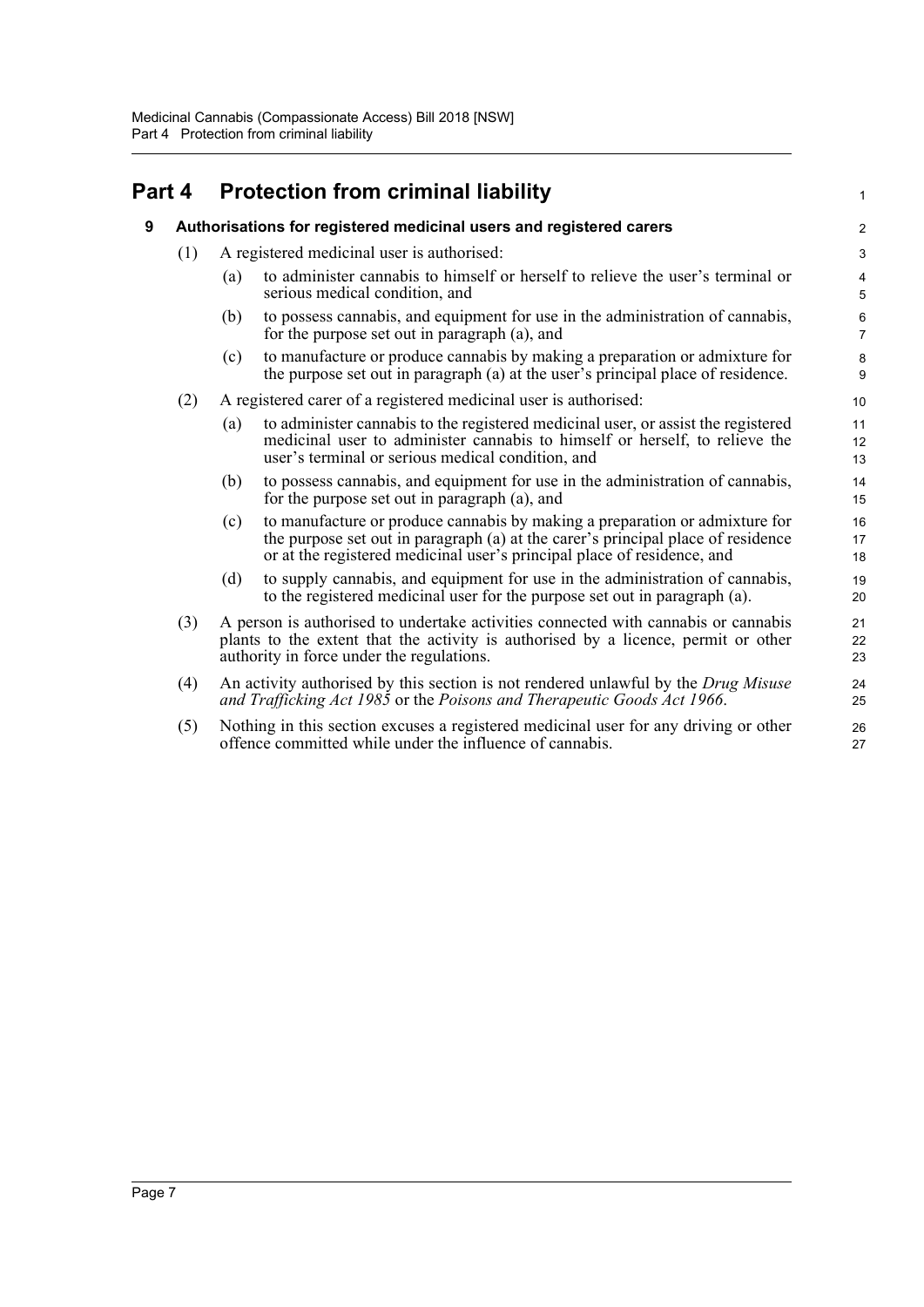#### <span id="page-11-1"></span><span id="page-11-0"></span>**Part 4 Protection from criminal liability 9 Authorisations for registered medicinal users and registered carers** (1) A registered medicinal user is authorised: (a) to administer cannabis to himself or herself to relieve the user's terminal or serious medical condition, and (b) to possess cannabis, and equipment for use in the administration of cannabis, for the purpose set out in paragraph (a), and (c) to manufacture or produce cannabis by making a preparation or admixture for the purpose set out in paragraph (a) at the user's principal place of residence. (2) A registered carer of a registered medicinal user is authorised: (a) to administer cannabis to the registered medicinal user, or assist the registered medicinal user to administer cannabis to himself or herself, to relieve the user's terminal or serious medical condition, and (b) to possess cannabis, and equipment for use in the administration of cannabis, for the purpose set out in paragraph (a), and (c) to manufacture or produce cannabis by making a preparation or admixture for the purpose set out in paragraph (a) at the carer's principal place of residence or at the registered medicinal user's principal place of residence, and (d) to supply cannabis, and equipment for use in the administration of cannabis, to the registered medicinal user for the purpose set out in paragraph (a). (3) A person is authorised to undertake activities connected with cannabis or cannabis plants to the extent that the activity is authorised by a licence, permit or other authority in force under the regulations. (4) An activity authorised by this section is not rendered unlawful by the *Drug Misuse and Trafficking Act 1985* or the *Poisons and Therapeutic Goods Act 1966*. (5) Nothing in this section excuses a registered medicinal user for any driving or other offence committed while under the influence of cannabis. 1  $\overline{2}$ 3 4 5 6 7 8 9 10 11 12 13 14 15 16 17 18 19 20 21 22 23 24 25 26 27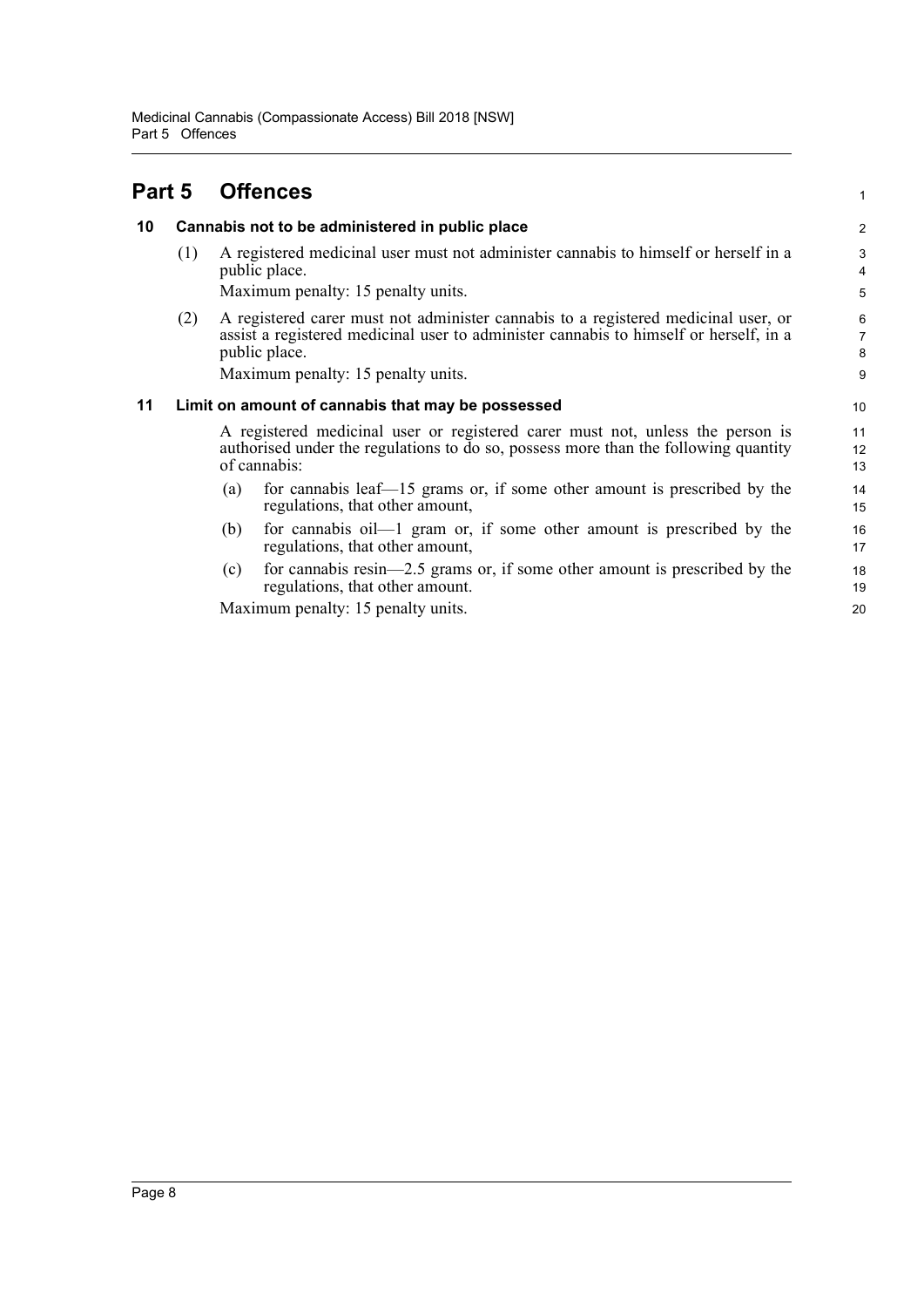#### <span id="page-12-2"></span><span id="page-12-1"></span><span id="page-12-0"></span>**Part 5 Offences 10 Cannabis not to be administered in public place** (1) A registered medicinal user must not administer cannabis to himself or herself in a public place. Maximum penalty: 15 penalty units. (2) A registered carer must not administer cannabis to a registered medicinal user, or assist a registered medicinal user to administer cannabis to himself or herself, in a public place. Maximum penalty: 15 penalty units. **11 Limit on amount of cannabis that may be possessed** A registered medicinal user or registered carer must not, unless the person is authorised under the regulations to do so, possess more than the following quantity of cannabis: (a) for cannabis leaf—15 grams or, if some other amount is prescribed by the regulations, that other amount, (b) for cannabis oil—1 gram or, if some other amount is prescribed by the regulations, that other amount, (c) for cannabis resin—2.5 grams or, if some other amount is prescribed by the regulations, that other amount. Maximum penalty: 15 penalty units. 1 2 3 4 5 6 7 8 9 10 11 12 13 14 15 16 17 18 19 20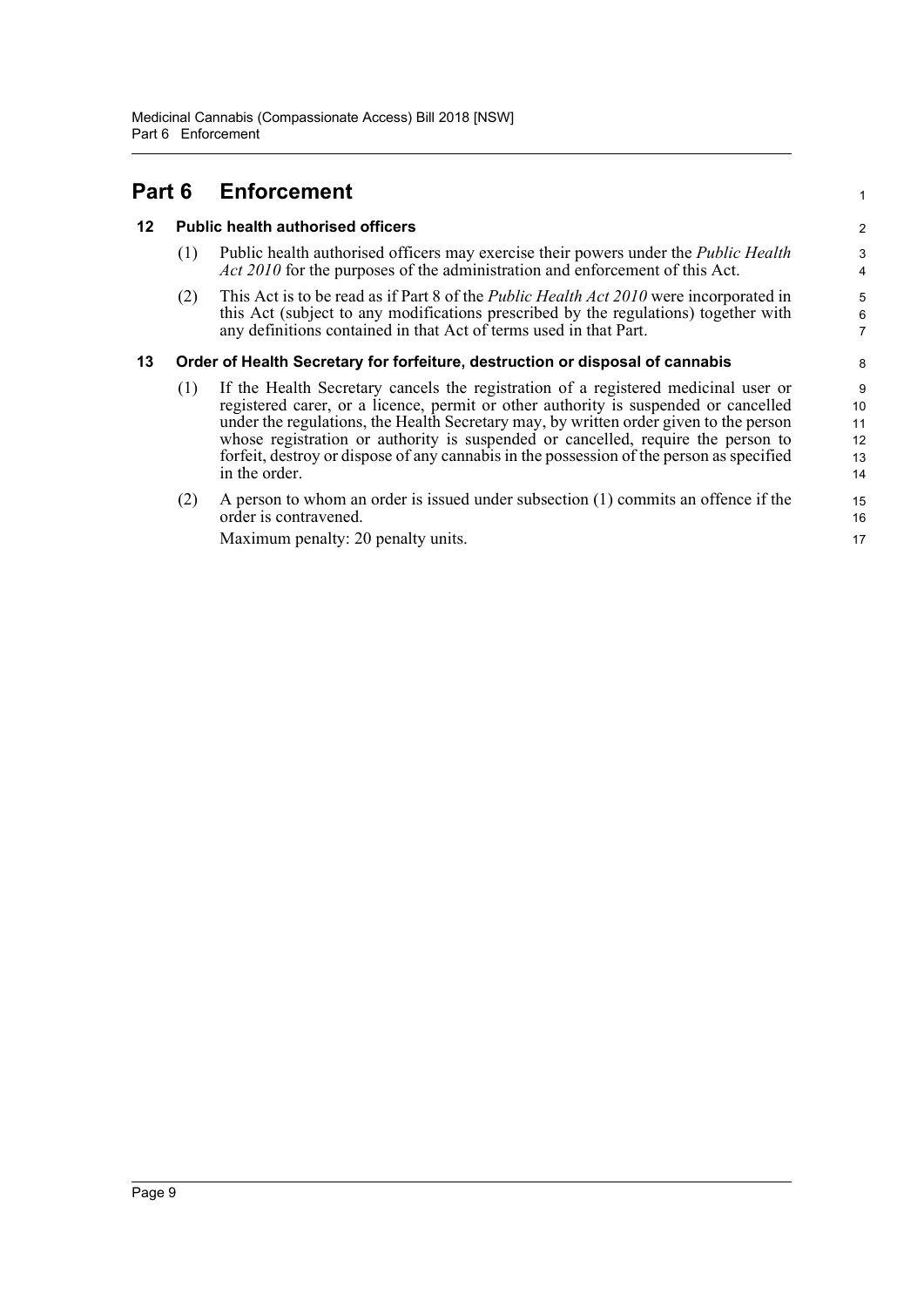<span id="page-13-2"></span><span id="page-13-1"></span><span id="page-13-0"></span>

| Part 6 |                                                                               | <b>Enforcement</b>                                                                                                                                                                                                                                                                                                                                                                                                                                                  |                                 |
|--------|-------------------------------------------------------------------------------|---------------------------------------------------------------------------------------------------------------------------------------------------------------------------------------------------------------------------------------------------------------------------------------------------------------------------------------------------------------------------------------------------------------------------------------------------------------------|---------------------------------|
| 12     |                                                                               | <b>Public health authorised officers</b>                                                                                                                                                                                                                                                                                                                                                                                                                            |                                 |
|        | (1)                                                                           | Public health authorised officers may exercise their powers under the <i>Public Health</i><br><i>Act 2010</i> for the purposes of the administration and enforcement of this Act.                                                                                                                                                                                                                                                                                   | 3<br>4                          |
|        | (2)                                                                           | This Act is to be read as if Part 8 of the <i>Public Health Act 2010</i> were incorporated in<br>this Act (subject to any modifications prescribed by the regulations) together with<br>any definitions contained in that Act of terms used in that Part.                                                                                                                                                                                                           | 5<br>$\overline{6}$<br>7        |
| 13     | Order of Health Secretary for forfeiture, destruction or disposal of cannabis |                                                                                                                                                                                                                                                                                                                                                                                                                                                                     | 8                               |
|        | (1)                                                                           | If the Health Secretary cancels the registration of a registered medicinal user or<br>registered carer, or a licence, permit or other authority is suspended or cancelled<br>under the regulations, the Health Secretary may, by written order given to the person<br>whose registration or authority is suspended or cancelled, require the person to<br>forfeit, destroy or dispose of any cannabis in the possession of the person as specified<br>in the order. | 9<br>10<br>11<br>12<br>13<br>14 |
|        | (2)                                                                           | A person to whom an order is issued under subsection (1) commits an offence if the<br>order is contravened.                                                                                                                                                                                                                                                                                                                                                         | 15<br>16                        |
|        |                                                                               | Maximum penalty: 20 penalty units.                                                                                                                                                                                                                                                                                                                                                                                                                                  | 17                              |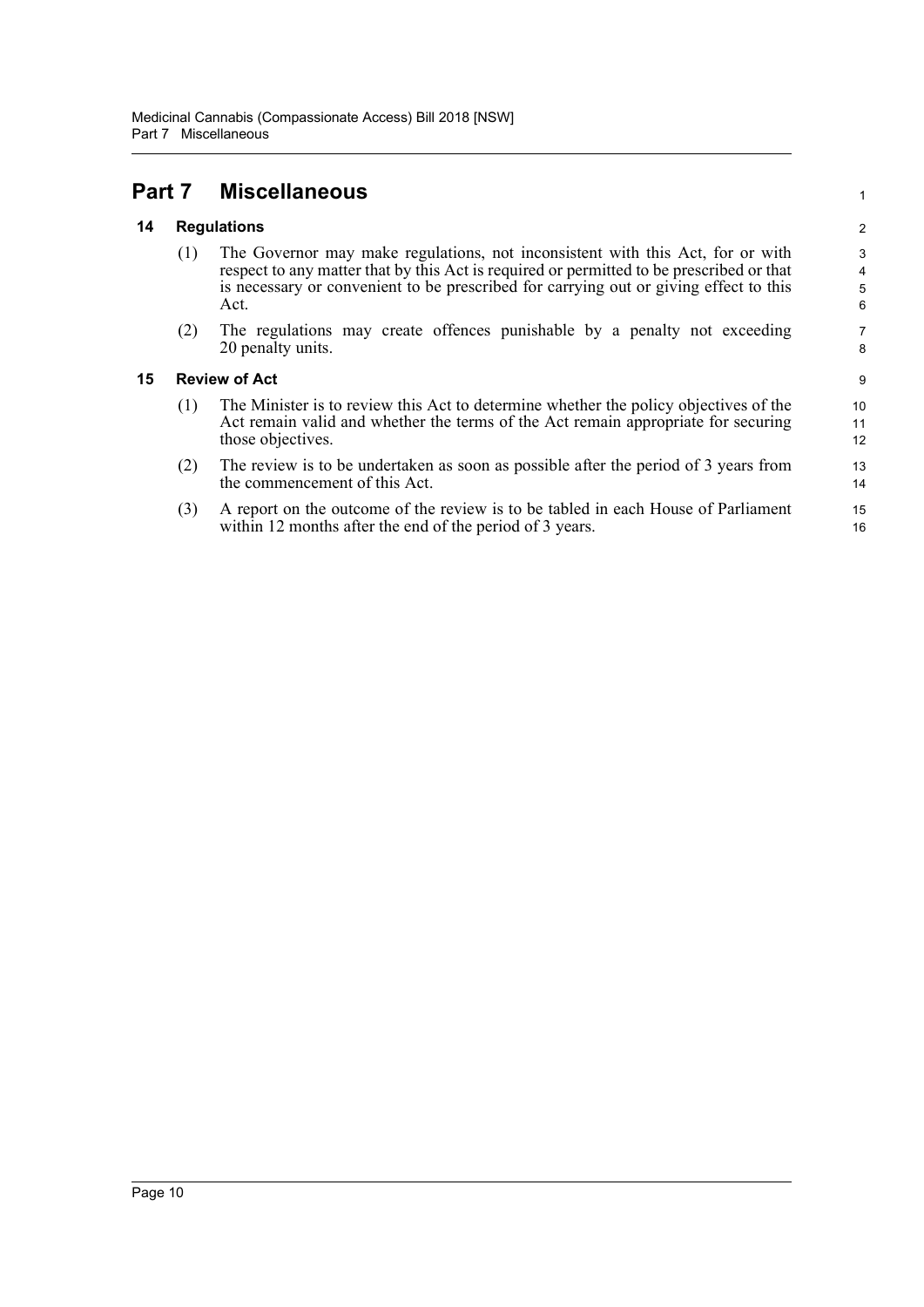## <span id="page-14-0"></span>**Part 7 Miscellaneous**

#### <span id="page-14-1"></span>**14 Regulations**

(1) The Governor may make regulations, not inconsistent with this Act, for or with respect to any matter that by this Act is required or permitted to be prescribed or that is necessary or convenient to be prescribed for carrying out or giving effect to this Act.

1

(2) The regulations may create offences punishable by a penalty not exceeding 20 penalty units.

#### <span id="page-14-2"></span>**15 Review of Act**

- (1) The Minister is to review this Act to determine whether the policy objectives of the Act remain valid and whether the terms of the Act remain appropriate for securing those objectives.
- (2) The review is to be undertaken as soon as possible after the period of 3 years from the commencement of this Act.
- (3) A report on the outcome of the review is to be tabled in each House of Parliament within 12 months after the end of the period of 3 years.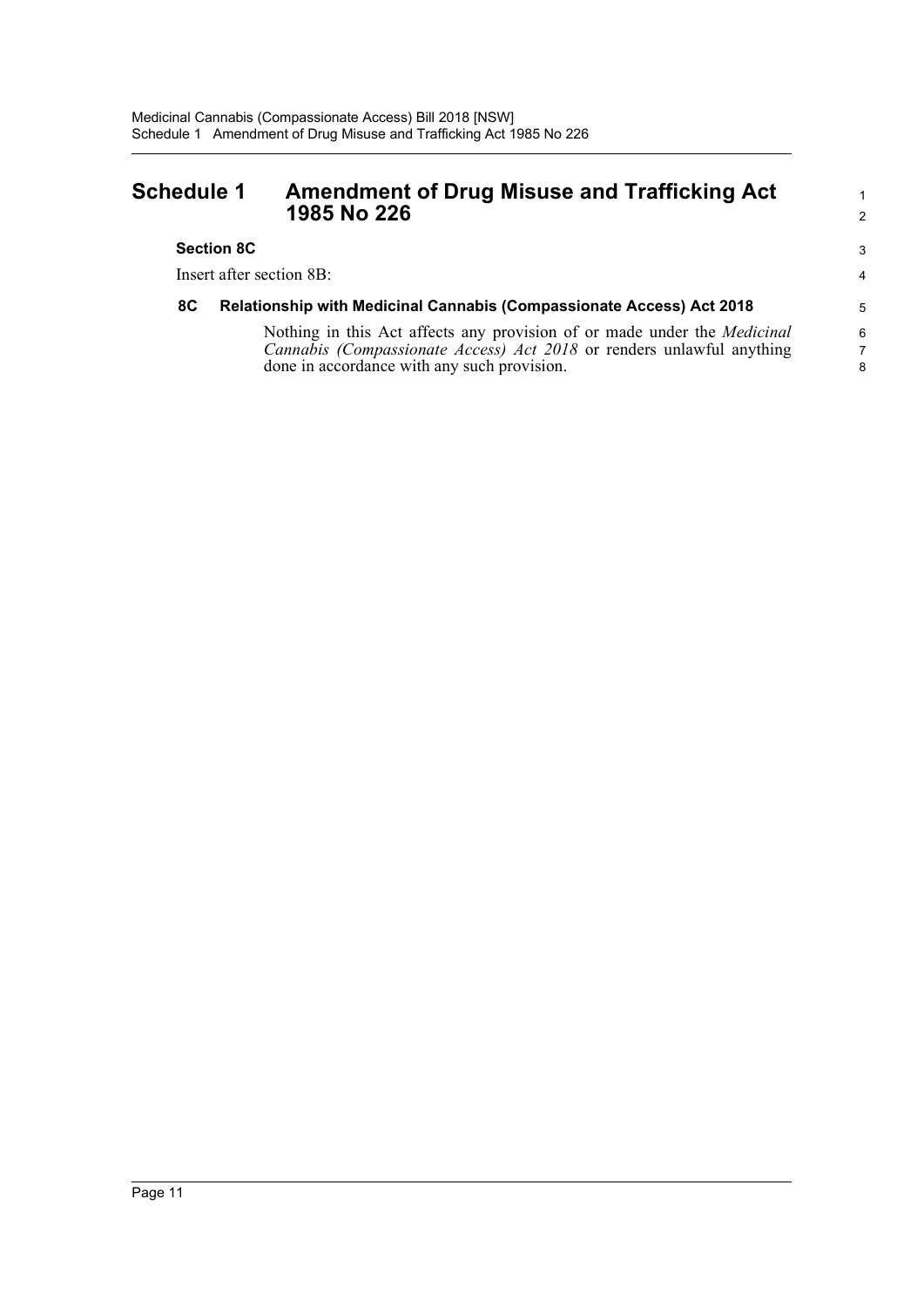### <span id="page-15-0"></span>**Schedule 1 Amendment of Drug Misuse and Trafficking Act 1985 No 226**

#### **Section 8C**

Insert after section 8B:

#### **8C Relationship with Medicinal Cannabis (Compassionate Access) Act 2018**

Nothing in this Act affects any provision of or made under the *Medicinal Cannabis (Compassionate Access) Act 2018* or renders unlawful anything done in accordance with any such provision.

1 2

3 4